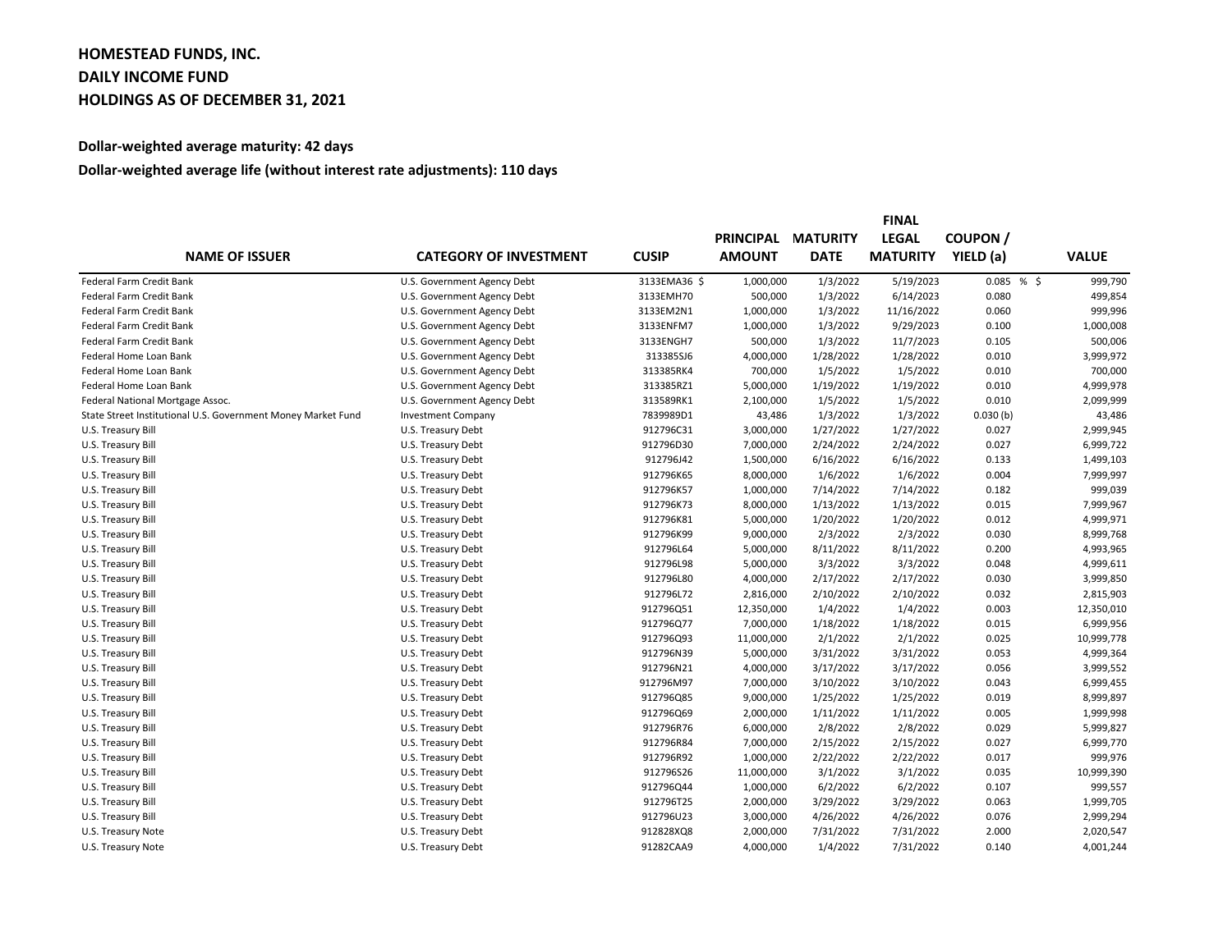## **HOMESTEAD FUNDS, INC. DAILY INCOME FUND HOLDINGS AS OF DECEMBER 31, 2021**

## **Dollar-weighted average maturity: 42 days**

## **Dollar-weighted average life (without interest rate adjustments): 110 days**

|                                                              | <b>CATEGORY OF INVESTMENT</b> |              | <b>FINAL</b>                      |                                |                                 |                            |              |  |
|--------------------------------------------------------------|-------------------------------|--------------|-----------------------------------|--------------------------------|---------------------------------|----------------------------|--------------|--|
| <b>NAME OF ISSUER</b>                                        |                               | <b>CUSIP</b> | <b>PRINCIPAL</b><br><b>AMOUNT</b> | <b>MATURITY</b><br><b>DATE</b> | <b>LEGAL</b><br><b>MATURITY</b> | <b>COUPON</b><br>YIELD (a) |              |  |
|                                                              |                               |              |                                   |                                |                                 |                            | <b>VALUE</b> |  |
| Federal Farm Credit Bank                                     | U.S. Government Agency Debt   | 3133EMA36 \$ | 1,000,000                         | 1/3/2022                       | 5/19/2023                       | 0.085%                     | 999,790      |  |
| Federal Farm Credit Bank                                     | U.S. Government Agency Debt   | 3133EMH70    | 500,000                           | 1/3/2022                       | 6/14/2023                       | 0.080                      | 499,854      |  |
| Federal Farm Credit Bank                                     | U.S. Government Agency Debt   | 3133EM2N1    | 1,000,000                         | 1/3/2022                       | 11/16/2022                      | 0.060                      | 999,996      |  |
| Federal Farm Credit Bank                                     | U.S. Government Agency Debt   | 3133ENFM7    | 1,000,000                         | 1/3/2022                       | 9/29/2023                       | 0.100                      | 1,000,008    |  |
| Federal Farm Credit Bank                                     | U.S. Government Agency Debt   | 3133ENGH7    | 500,000                           | 1/3/2022                       | 11/7/2023                       | 0.105                      | 500,006      |  |
| Federal Home Loan Bank                                       | U.S. Government Agency Debt   | 313385SJ6    | 4,000,000                         | 1/28/2022                      | 1/28/2022                       | 0.010                      | 3,999,972    |  |
| Federal Home Loan Bank                                       | U.S. Government Agency Debt   | 313385RK4    | 700,000                           | 1/5/2022                       | 1/5/2022                        | 0.010                      | 700,000      |  |
| Federal Home Loan Bank                                       | U.S. Government Agency Debt   | 313385RZ1    | 5,000,000                         | 1/19/2022                      | 1/19/2022                       | 0.010                      | 4,999,978    |  |
| Federal National Mortgage Assoc.                             | U.S. Government Agency Debt   | 313589RK1    | 2,100,000                         | 1/5/2022                       | 1/5/2022                        | 0.010                      | 2,099,999    |  |
| State Street Institutional U.S. Government Money Market Fund | <b>Investment Company</b>     | 7839989D1    | 43,486                            | 1/3/2022                       | 1/3/2022                        | 0.030(b)                   | 43,486       |  |
| U.S. Treasury Bill                                           | U.S. Treasury Debt            | 912796C31    | 3,000,000                         | 1/27/2022                      | 1/27/2022                       | 0.027                      | 2,999,945    |  |
| U.S. Treasury Bill                                           | U.S. Treasury Debt            | 912796D30    | 7,000,000                         | 2/24/2022                      | 2/24/2022                       | 0.027                      | 6,999,722    |  |
| U.S. Treasury Bill                                           | U.S. Treasury Debt            | 912796J42    | 1,500,000                         | 6/16/2022                      | 6/16/2022                       | 0.133                      | 1,499,103    |  |
| U.S. Treasury Bill                                           | U.S. Treasury Debt            | 912796K65    | 8,000,000                         | 1/6/2022                       | 1/6/2022                        | 0.004                      | 7,999,997    |  |
| U.S. Treasury Bill                                           | U.S. Treasury Debt            | 912796K57    | 1,000,000                         | 7/14/2022                      | 7/14/2022                       | 0.182                      | 999,039      |  |
| U.S. Treasury Bill                                           | U.S. Treasury Debt            | 912796K73    | 8,000,000                         | 1/13/2022                      | 1/13/2022                       | 0.015                      | 7,999,967    |  |
| U.S. Treasury Bill                                           | U.S. Treasury Debt            | 912796K81    | 5,000,000                         | 1/20/2022                      | 1/20/2022                       | 0.012                      | 4,999,971    |  |
| U.S. Treasury Bill                                           | U.S. Treasury Debt            | 912796K99    | 9,000,000                         | 2/3/2022                       | 2/3/2022                        | 0.030                      | 8,999,768    |  |
| U.S. Treasury Bill                                           | U.S. Treasury Debt            | 912796L64    | 5,000,000                         | 8/11/2022                      | 8/11/2022                       | 0.200                      | 4,993,965    |  |
| U.S. Treasury Bill                                           | U.S. Treasury Debt            | 912796L98    | 5,000,000                         | 3/3/2022                       | 3/3/2022                        | 0.048                      | 4,999,611    |  |
| U.S. Treasury Bill                                           | U.S. Treasury Debt            | 912796L80    | 4,000,000                         | 2/17/2022                      | 2/17/2022                       | 0.030                      | 3,999,850    |  |
| U.S. Treasury Bill                                           | U.S. Treasury Debt            | 912796L72    | 2,816,000                         | 2/10/2022                      | 2/10/2022                       | 0.032                      | 2,815,903    |  |
| U.S. Treasury Bill                                           | U.S. Treasury Debt            | 912796Q51    | 12,350,000                        | 1/4/2022                       | 1/4/2022                        | 0.003                      | 12,350,010   |  |
| U.S. Treasury Bill                                           | U.S. Treasury Debt            | 912796Q77    | 7,000,000                         | 1/18/2022                      | 1/18/2022                       | 0.015                      | 6,999,956    |  |
| U.S. Treasury Bill                                           | U.S. Treasury Debt            | 912796Q93    | 11,000,000                        | 2/1/2022                       | 2/1/2022                        | 0.025                      | 10,999,778   |  |
| U.S. Treasury Bill                                           | U.S. Treasury Debt            | 912796N39    | 5,000,000                         | 3/31/2022                      | 3/31/2022                       | 0.053                      | 4,999,364    |  |
| U.S. Treasury Bill                                           | U.S. Treasury Debt            | 912796N21    | 4,000,000                         | 3/17/2022                      | 3/17/2022                       | 0.056                      | 3,999,552    |  |
| U.S. Treasury Bill                                           | U.S. Treasury Debt            | 912796M97    | 7,000,000                         | 3/10/2022                      | 3/10/2022                       | 0.043                      | 6,999,455    |  |
| U.S. Treasury Bill                                           | U.S. Treasury Debt            | 912796Q85    | 9,000,000                         | 1/25/2022                      | 1/25/2022                       | 0.019                      | 8,999,897    |  |
| U.S. Treasury Bill                                           | U.S. Treasury Debt            | 912796Q69    | 2,000,000                         | 1/11/2022                      | 1/11/2022                       | 0.005                      | 1,999,998    |  |
| U.S. Treasury Bill                                           | U.S. Treasury Debt            | 912796R76    | 6,000,000                         | 2/8/2022                       | 2/8/2022                        | 0.029                      | 5,999,827    |  |
| U.S. Treasury Bill                                           | U.S. Treasury Debt            | 912796R84    | 7,000,000                         | 2/15/2022                      | 2/15/2022                       | 0.027                      | 6,999,770    |  |
| U.S. Treasury Bill                                           | U.S. Treasury Debt            | 912796R92    | 1,000,000                         | 2/22/2022                      | 2/22/2022                       | 0.017                      | 999,976      |  |
| U.S. Treasury Bill                                           | U.S. Treasury Debt            | 912796S26    | 11,000,000                        | 3/1/2022                       | 3/1/2022                        | 0.035                      | 10,999,390   |  |
| U.S. Treasury Bill                                           | U.S. Treasury Debt            | 912796Q44    | 1,000,000                         | 6/2/2022                       | 6/2/2022                        | 0.107                      | 999,557      |  |
| U.S. Treasury Bill                                           | U.S. Treasury Debt            | 912796T25    | 2,000,000                         | 3/29/2022                      | 3/29/2022                       | 0.063                      | 1,999,705    |  |
| U.S. Treasury Bill                                           | U.S. Treasury Debt            | 912796U23    | 3,000,000                         | 4/26/2022                      | 4/26/2022                       | 0.076                      | 2,999,294    |  |
| U.S. Treasury Note                                           | U.S. Treasury Debt            | 912828XQ8    | 2,000,000                         | 7/31/2022                      | 7/31/2022                       | 2.000                      | 2,020,547    |  |
| U.S. Treasury Note                                           | U.S. Treasury Debt            | 91282CAA9    | 4,000,000                         | 1/4/2022                       | 7/31/2022                       | 0.140                      | 4,001,244    |  |